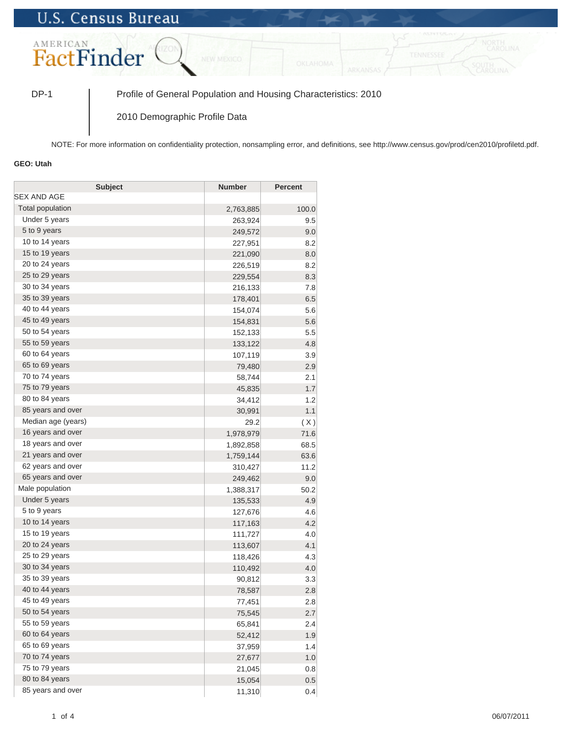## **U.S. Census Bureau**



DP-1 Profile of General Population and Housing Characteristics: 2010

2010 Demographic Profile Data

NOTE: For more information on confidentiality protection, nonsampling error, and definitions, see http://www.census.gov/prod/cen2010/profiletd.pdf.

## **GEO: Utah**

| <b>Subject</b>     | <b>Number</b> | <b>Percent</b> |
|--------------------|---------------|----------------|
| SEX AND AGE        |               |                |
| Total population   | 2,763,885     | 100.0          |
| Under 5 years      | 263,924       | 9.5            |
| 5 to 9 years       | 249,572       | 9.0            |
| 10 to 14 years     | 227,951       | 8.2            |
| 15 to 19 years     | 221,090       | 8.0            |
| 20 to 24 years     | 226,519       | 8.2            |
| 25 to 29 years     | 229,554       | 8.3            |
| 30 to 34 years     | 216,133       | 7.8            |
| 35 to 39 years     | 178,401       | 6.5            |
| 40 to 44 years     | 154,074       | 5.6            |
| 45 to 49 years     | 154,831       | 5.6            |
| 50 to 54 years     | 152,133       | 5.5            |
| 55 to 59 years     | 133,122       | 4.8            |
| 60 to 64 years     | 107,119       | 3.9            |
| 65 to 69 years     | 79,480        | 2.9            |
| 70 to 74 years     | 58,744        | 2.1            |
| 75 to 79 years     | 45,835        | 1.7            |
| 80 to 84 years     | 34,412        | 1.2            |
| 85 years and over  | 30,991        | 1.1            |
| Median age (years) | 29.2          | (X)            |
| 16 years and over  | 1,978,979     | 71.6           |
| 18 years and over  | 1,892,858     | 68.5           |
| 21 years and over  | 1,759,144     | 63.6           |
| 62 years and over  | 310,427       | 11.2           |
| 65 years and over  | 249,462       | 9.0            |
| Male population    | 1,388,317     | 50.2           |
| Under 5 years      | 135,533       | 4.9            |
| 5 to 9 years       | 127,676       | 4.6            |
| 10 to 14 years     | 117,163       | 4.2            |
| 15 to 19 years     | 111,727       | 4.0            |
| 20 to 24 years     | 113,607       | 4.1            |
| 25 to 29 years     | 118,426       | 4.3            |
| 30 to 34 years     | 110,492       | 4.0            |
| 35 to 39 years     | 90,812        | 3.3            |
| 40 to 44 years     | 78,587        | 2.8            |
| 45 to 49 years     | 77,451        | 2.8            |
| 50 to 54 years     | 75,545        | 2.7            |
| 55 to 59 years     | 65,841        | 2.4            |
| 60 to 64 years     | 52,412        | 1.9            |
| 65 to 69 years     | 37,959        | 1.4            |
| 70 to 74 years     | 27,677        | 1.0            |
| 75 to 79 years     | 21,045        | 0.8            |
| 80 to 84 years     | 15,054        | 0.5            |
| 85 years and over  | 11,310        | 0.4            |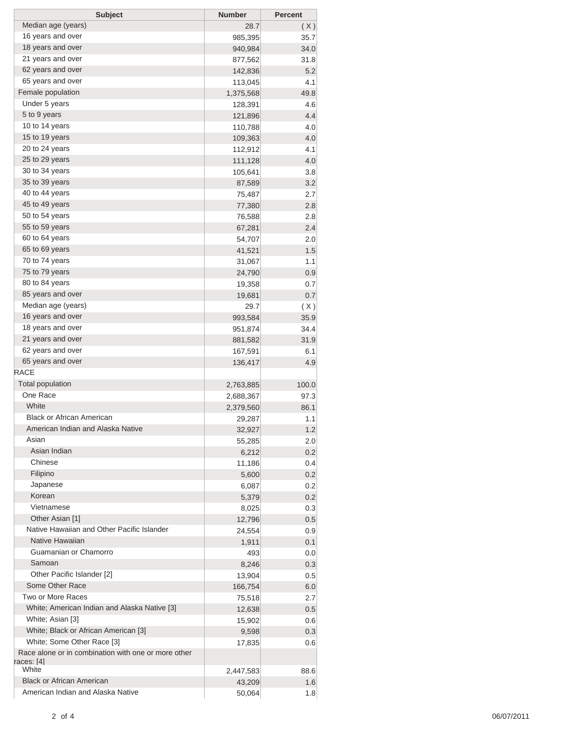| <b>Subject</b>                                      | <b>Number</b> | <b>Percent</b> |
|-----------------------------------------------------|---------------|----------------|
| Median age (years)                                  | 28.7          | (X)            |
| 16 years and over                                   | 985,395       | 35.7           |
| 18 years and over                                   | 940,984       | 34.0           |
| 21 years and over                                   | 877,562       | 31.8           |
| 62 years and over                                   | 142,836       | 5.2            |
| 65 years and over                                   | 113,045       | 4.1            |
| Female population                                   | 1,375,568     | 49.8           |
| Under 5 years                                       | 128,391       | 4.6            |
| 5 to 9 years                                        | 121,896       | 4.4            |
| 10 to 14 years                                      | 110,788       | 4.0            |
| 15 to 19 years                                      | 109,363       | 4.0            |
| 20 to 24 years                                      | 112,912       | 4.1            |
| 25 to 29 years                                      | 111,128       | 4.0            |
| 30 to 34 years                                      | 105,641       | 3.8            |
| 35 to 39 years                                      | 87,589        | 3.2            |
| 40 to 44 years                                      | 75,487        | 2.7            |
| 45 to 49 years                                      | 77,380        | 2.8            |
| 50 to 54 years                                      | 76,588        | 2.8            |
| 55 to 59 years                                      | 67,281        | 2.4            |
| 60 to 64 years                                      | 54,707        | 2.0            |
| 65 to 69 years                                      | 41,521        | 1.5            |
| 70 to 74 years                                      | 31,067        | 1.1            |
| 75 to 79 years                                      |               | 0.9            |
| 80 to 84 years                                      | 24,790        |                |
| 85 years and over                                   | 19,358        | 0.7            |
| Median age (years)                                  | 19,681        | 0.7            |
| 16 years and over                                   | 29.7          | (X)            |
|                                                     | 993,584       | 35.9           |
| 18 years and over                                   | 951,874       | 34.4           |
| 21 years and over                                   | 881,582       | 31.9           |
| 62 years and over                                   | 167,591       | 6.1            |
| 65 years and over                                   | 136,417       | 4.9            |
| <b>RACE</b>                                         |               |                |
| <b>Total population</b>                             | 2,763,885     | 100.0          |
| One Race                                            | 2,688,367     | 97.3           |
| White                                               | 2,379,560     | 86.1           |
| <b>Black or African American</b>                    | 29,287        | 1.1            |
| American Indian and Alaska Native                   | 32,927        | 1.2            |
| Asian                                               | 55,285        | 2.0            |
| Asian Indian                                        | 6,212         | 0.2            |
| Chinese                                             | 11,186        | 0.4            |
| Filipino                                            | 5,600         | 0.2            |
| Japanese                                            | 6,087         | 0.2            |
| Korean                                              | 5,379         | 0.2            |
| Vietnamese                                          | 8,025         | 0.3            |
| Other Asian [1]                                     | 12,796        | 0.5            |
| Native Hawaiian and Other Pacific Islander          | 24,554        | 0.9            |
| Native Hawaiian                                     | 1,911         | 0.1            |
| Guamanian or Chamorro                               | 493           | 0.0            |
| Samoan                                              | 8,246         | 0.3            |
| Other Pacific Islander [2]                          | 13,904        | 0.5            |
| Some Other Race                                     | 166,754       | 6.0            |
| Two or More Races                                   | 75,518        | 2.7            |
| White; American Indian and Alaska Native [3]        | 12,638        | 0.5            |
| White; Asian [3]                                    | 15,902        | 0.6            |
| White; Black or African American [3]                | 9,598         | 0.3            |
| White; Some Other Race [3]                          | 17,835        | 0.6            |
| Race alone or in combination with one or more other |               |                |
| races: [4]                                          |               |                |
| White                                               | 2,447,583     | 88.6           |
| <b>Black or African American</b>                    | 43,209        | 1.6            |
| American Indian and Alaska Native                   | 50,064        | 1.8            |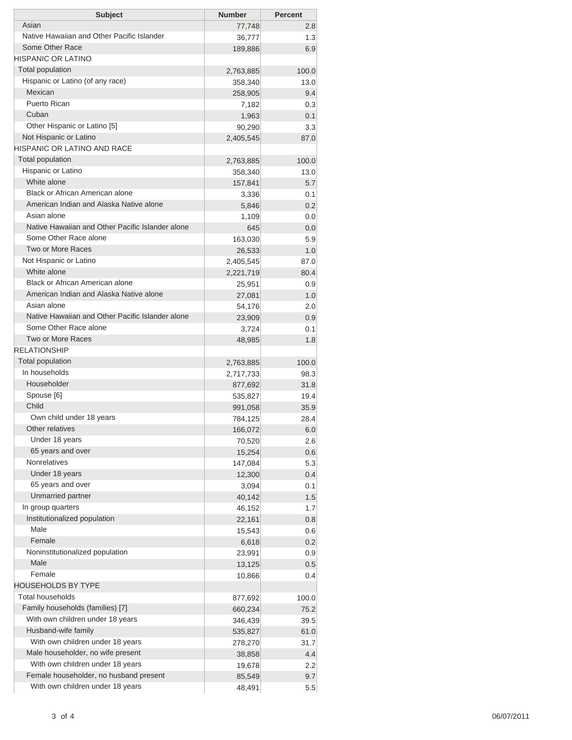| <b>Subject</b>                                                | <b>Number</b>      | <b>Percent</b> |
|---------------------------------------------------------------|--------------------|----------------|
| Asian                                                         | 77,748             | 2.8            |
| Native Hawaiian and Other Pacific Islander<br>Some Other Race | 36,777             | 1.3            |
| HISPANIC OR LATINO                                            | 189,886            | 6.9            |
| <b>Total population</b>                                       |                    |                |
| Hispanic or Latino (of any race)                              | 2,763,885          | 100.0<br>13.0  |
| Mexican                                                       | 358,340<br>258,905 | 9.4            |
| Puerto Rican                                                  | 7,182              | 0.3            |
| Cuban                                                         | 1,963              | 0.1            |
| Other Hispanic or Latino [5]                                  | 90,290             | 3.3            |
| Not Hispanic or Latino                                        | 2,405,545          | 87.0           |
| HISPANIC OR LATINO AND RACE                                   |                    |                |
| <b>Total population</b>                                       | 2,763,885          | 100.0          |
| Hispanic or Latino                                            | 358,340            | 13.0           |
| White alone                                                   | 157,841            | 5.7            |
| Black or African American alone                               | 3,336              | 0.1            |
| American Indian and Alaska Native alone                       | 5,846              | 0.2            |
| Asian alone                                                   | 1,109              | 0.0            |
| Native Hawaiian and Other Pacific Islander alone              | 645                | 0.0            |
| Some Other Race alone                                         | 163,030            | 5.9            |
| Two or More Races                                             | 26,533             | 1.0            |
| Not Hispanic or Latino                                        | 2,405,545          | 87.0           |
| White alone                                                   | 2,221,719          | 80.4           |
| Black or African American alone                               | 25,951             | 0.9            |
| American Indian and Alaska Native alone                       | 27,081             | 1.0            |
| Asian alone                                                   | 54,176             | 2.0            |
| Native Hawaiian and Other Pacific Islander alone              | 23,909             | 0.9            |
| Some Other Race alone                                         | 3,724              | 0.1            |
| Two or More Races                                             | 48,985             | 1.8            |
| RELATIONSHIP                                                  |                    |                |
| <b>Total population</b><br>In households                      | 2,763,885          | 100.0          |
| Householder                                                   | 2,717,733          | 98.3           |
| Spouse [6]                                                    | 877,692            | 31.8           |
| Child                                                         | 535,827            | 19.4           |
| Own child under 18 years                                      | 991,058            | 35.9<br>28.4   |
| Other relatives                                               | 784,125<br>166,072 | 6.0            |
| Under 18 years                                                | 70,520             | 2.6            |
| 65 years and over                                             | 15,254             | 0.6            |
| <b>Nonrelatives</b>                                           | 147,084            | 5.3            |
| Under 18 years                                                | 12,300             | 0.4            |
| 65 years and over                                             | 3,094              | 0.1            |
| Unmarried partner                                             | 40,142             | 1.5            |
| In group quarters                                             | 46,152             | 1.7            |
| Institutionalized population                                  | 22,161             | 0.8            |
| Male                                                          | 15,543             | 0.6            |
| Female                                                        | 6,618              | 0.2            |
| Noninstitutionalized population                               | 23,991             | 0.9            |
| Male                                                          | 13,125             | 0.5            |
| Female                                                        | 10,866             | 0.4            |
| <b>HOUSEHOLDS BY TYPE</b>                                     |                    |                |
| <b>Total households</b>                                       | 877,692            | 100.0          |
| Family households (families) [7]                              | 660,234            | 75.2           |
| With own children under 18 years                              | 346,439            | 39.5           |
| Husband-wife family                                           | 535,827            | 61.0           |
| With own children under 18 years                              | 278,270            | 31.7           |
| Male householder, no wife present                             | 38,858             | 4.4            |
| With own children under 18 years                              | 19,678             | 2.2            |
| Female householder, no husband present                        | 85,549             | 9.7            |
| With own children under 18 years                              | 48,491             | 5.5            |